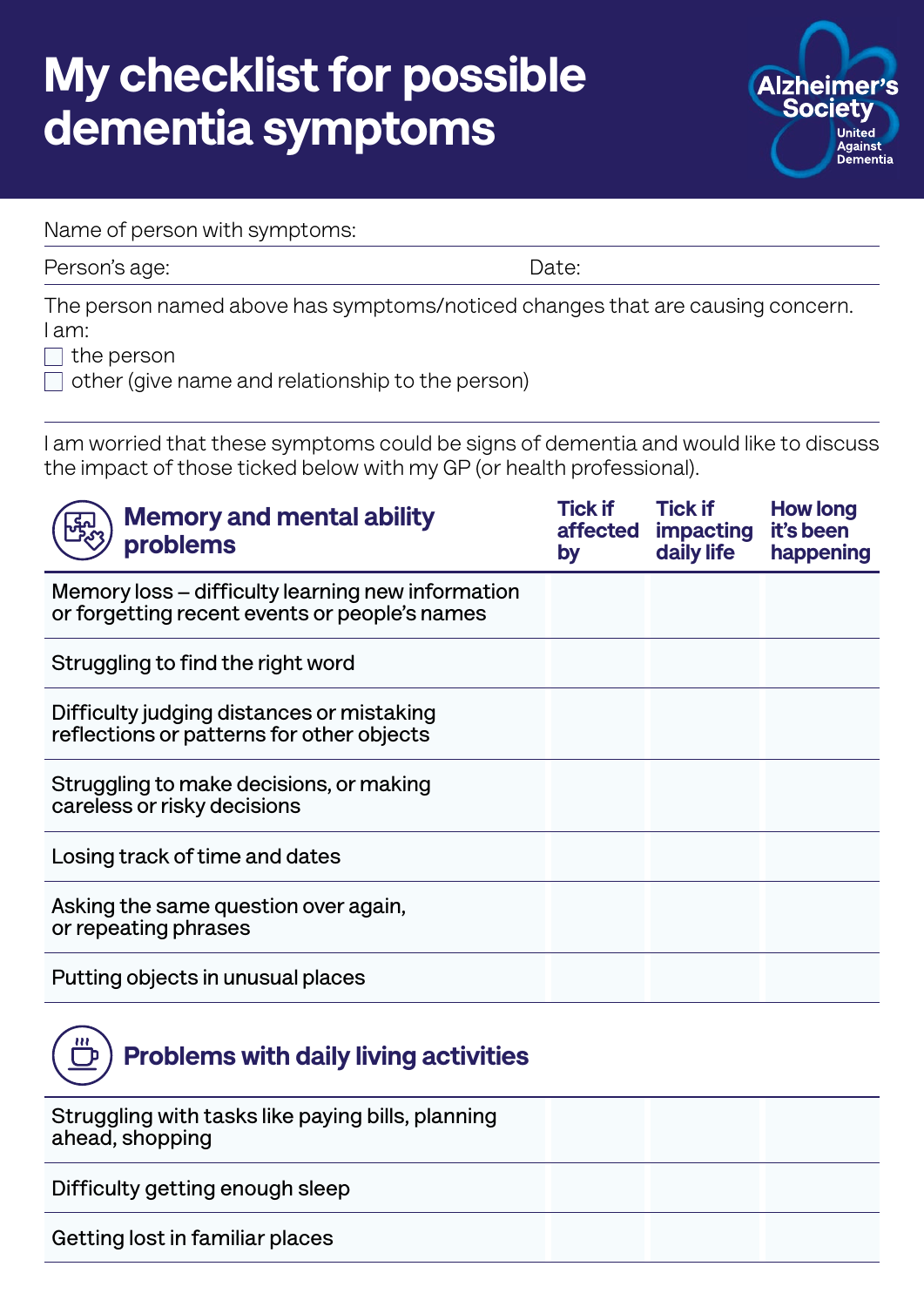## My checklist for possible dementia symptoms



Name of person with symptoms:

Person's age: Date:

The person named above has symptoms/noticed changes that are causing concern. I am:

 $\Box$  the person

 $\Box$  other (give name and relationship to the person)

I am worried that these symptoms could be signs of dementia and would like to discuss the impact of those ticked below with my GP (or health professional).

| <b>Memory and mental ability</b><br>problems                                                       | <b>Tick if</b><br>affected<br>by | <b>Tick if</b><br><b>impacting</b><br>daily life | <b>How long</b><br>it's been<br>happening |
|----------------------------------------------------------------------------------------------------|----------------------------------|--------------------------------------------------|-------------------------------------------|
| Memory loss – difficulty learning new information<br>or forgetting recent events or people's names |                                  |                                                  |                                           |
| Struggling to find the right word                                                                  |                                  |                                                  |                                           |
| Difficulty judging distances or mistaking<br>reflections or patterns for other objects             |                                  |                                                  |                                           |
| Struggling to make decisions, or making<br>careless or risky decisions                             |                                  |                                                  |                                           |
| Losing track of time and dates                                                                     |                                  |                                                  |                                           |
| Asking the same question over again,<br>or repeating phrases                                       |                                  |                                                  |                                           |
| Putting objects in unusual places                                                                  |                                  |                                                  |                                           |



**Struggling with tasks like paying bills, planning ahead, shopping Difficulty getting enough sleep Getting lost in familiar places**